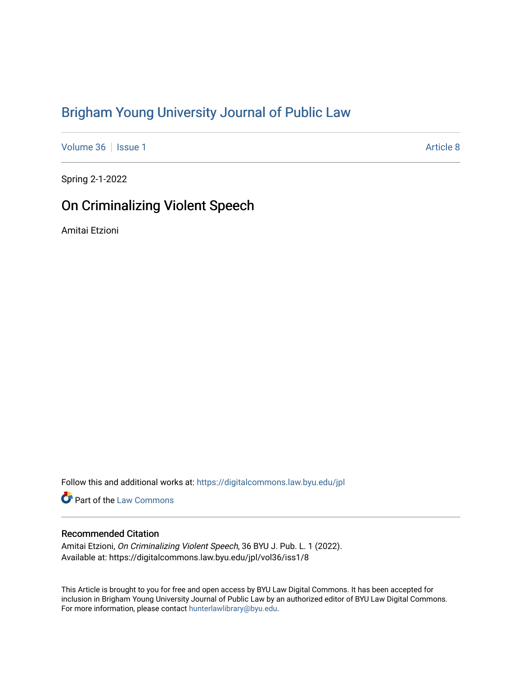# [Brigham Young University Journal of Public Law](https://digitalcommons.law.byu.edu/jpl)

[Volume 36](https://digitalcommons.law.byu.edu/jpl/vol36) | [Issue 1](https://digitalcommons.law.byu.edu/jpl/vol36/iss1) Article 8

Spring 2-1-2022

# On Criminalizing Violent Speech

Amitai Etzioni

Follow this and additional works at: [https://digitalcommons.law.byu.edu/jpl](https://digitalcommons.law.byu.edu/jpl?utm_source=digitalcommons.law.byu.edu%2Fjpl%2Fvol36%2Fiss1%2F8&utm_medium=PDF&utm_campaign=PDFCoverPages) 

Part of the [Law Commons](http://network.bepress.com/hgg/discipline/578?utm_source=digitalcommons.law.byu.edu%2Fjpl%2Fvol36%2Fiss1%2F8&utm_medium=PDF&utm_campaign=PDFCoverPages)

# Recommended Citation

Amitai Etzioni, On Criminalizing Violent Speech, 36 BYU J. Pub. L. 1 (2022). Available at: https://digitalcommons.law.byu.edu/jpl/vol36/iss1/8

This Article is brought to you for free and open access by BYU Law Digital Commons. It has been accepted for inclusion in Brigham Young University Journal of Public Law by an authorized editor of BYU Law Digital Commons. For more information, please contact [hunterlawlibrary@byu.edu](mailto:hunterlawlibrary@byu.edu).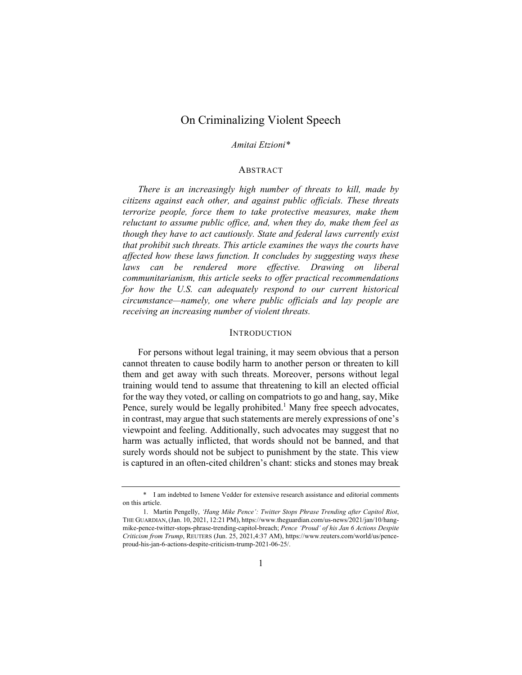# On Criminalizing Violent Speech

#### *Amitai Etzioni\**

#### ABSTRACT

*There is an increasingly high number of threats to kill, made by citizens against each other, and against public officials. These threats terrorize people, force them to take protective measures, make them reluctant to assume public office, and, when they do, make them feel as though they have to act cautiously. State and federal laws currently exist that prohibit such threats. This article examines the ways the courts have affected how these laws function. It concludes by suggesting ways these*  laws can be rendered more effective. Drawing on liberal *communitarianism, this article seeks to offer practical recommendations for how the U.S. can adequately respond to our current historical circumstance—namely, one where public officials and lay people are receiving an increasing number of violent threats.* 

#### INTRODUCTION

For persons without legal training, it may seem obvious that a person cannot threaten to cause bodily harm to another person or threaten to kill them and get away with such threats. Moreover, persons without legal training would tend to assume that threatening to kill an elected official for the way they voted, or calling on compatriots to go and hang, say, Mike Pence, surely would be legally prohibited.<sup>1</sup> Many free speech advocates, in contrast, may argue that such statements are merely expressions of one's viewpoint and feeling. Additionally, such advocates may suggest that no harm was actually inflicted, that words should not be banned, and that surely words should not be subject to punishment by the state. This view is captured in an often-cited children's chant: sticks and stones may break

<sup>\*</sup> I am indebted to Ismene Vedder for extensive research assistance and editorial comments on this article.

<sup>1.</sup> Martin Pengelly, *'Hang Mike Pence': Twitter Stops Phrase Trending after Capitol Riot*, THE GUARDIAN,(Jan. 10, 2021, 12:21 PM), https://www.theguardian.com/us-news/2021/jan/10/hangmike-pence-twitter-stops-phrase-trending-capitol-breach; *Pence 'Proud' of his Jan 6 Actions Despite Criticism from Trump*, REUTERS (Jun. 25, 2021,4:37 AM), https://www.reuters.com/world/us/penceproud-his-jan-6-actions-despite-criticism-trump-2021-06-25/.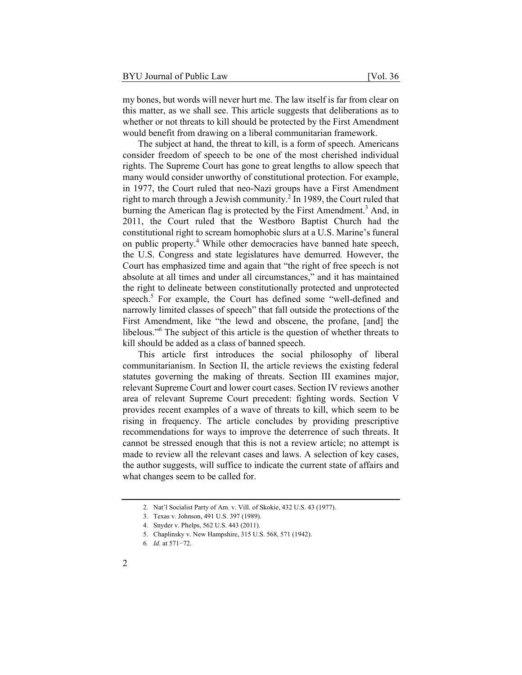my bones, but words will never hurt me. The law itself is far from clear on this matter, as we shall see. This article suggests that deliberations as to whether or not threats to kill should be protected by the First Amendment would benefit from drawing on a liberal communitarian framework.

The subject at hand, the threat to kill, is a form of speech. Americans consider freedom of speech to be one of the most cherished individual rights. The Supreme Court has gone to great lengths to allow speech that many would consider unworthy of constitutional protection. For example, in 1977, the Court ruled that neo-Nazi groups have a First Amendment right to march through a Jewish community.<sup>2</sup> In 1989, the Court ruled that burning the American flag is protected by the First Amendment.<sup>3</sup> And, in 2011, the Court ruled that the Westboro Baptist Church had the constitutional right to scream homophobic slurs at a U.S. Marine's funeral on public property.<sup>4</sup> While other democracies have banned hate speech, the U.S. Congress and state legislatures have demurred*.* However, the Court has emphasized time and again that "the right of free speech is not absolute at all times and under all circumstances," and it has maintained the right to delineate between constitutionally protected and unprotected speech.<sup>5</sup> For example, the Court has defined some "well-defined and narrowly limited classes of speech" that fall outside the protections of the First Amendment, like "the lewd and obscene, the profane, [and] the libelous."6 The subject of this article is the question of whether threats to kill should be added as a class of banned speech.

This article first introduces the social philosophy of liberal communitarianism. In Section II, the article reviews the existing federal statutes governing the making of threats. Section III examines major, relevant Supreme Court and lower court cases. Section IV reviews another area of relevant Supreme Court precedent: fighting words. Section V provides recent examples of a wave of threats to kill, which seem to be rising in frequency. The article concludes by providing prescriptive recommendations for ways to improve the deterrence of such threats. It cannot be stressed enough that this is not a review article; no attempt is made to review all the relevant cases and laws. A selection of key cases, the author suggests, will suffice to indicate the current state of affairs and what changes seem to be called for.

<sup>2.</sup> Nat'l Socialist Party of Am. v. Vill. of Skokie, 432 U.S. 43 (1977).

<sup>3.</sup> Texas v. Johnson, 491 U.S. 397 (1989).

<sup>4.</sup> Snyder v. Phelps, 562 U.S. 443 (2011).

<sup>5.</sup> Chaplinsky v. New Hampshire, 315 U.S. 568, 571 (1942).

<sup>6</sup>*. Id.* at 571−72.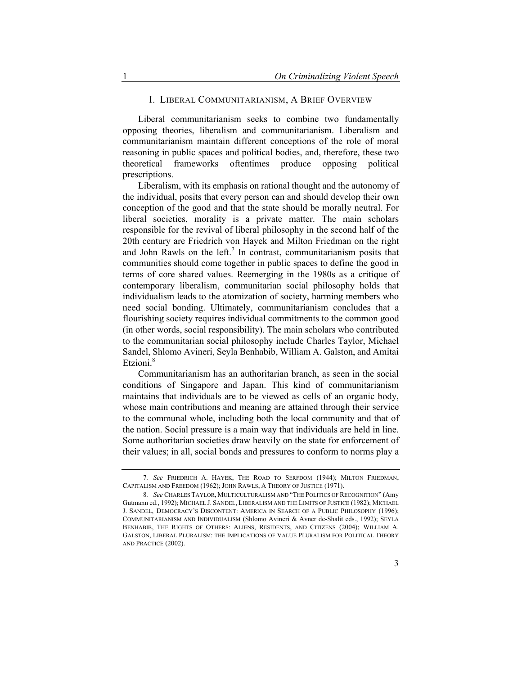#### I. LIBERAL COMMUNITARIANISM, A BRIEF OVERVIEW

Liberal communitarianism seeks to combine two fundamentally opposing theories, liberalism and communitarianism. Liberalism and communitarianism maintain different conceptions of the role of moral reasoning in public spaces and political bodies, and, therefore, these two theoretical frameworks oftentimes produce opposing political prescriptions.

Liberalism, with its emphasis on rational thought and the autonomy of the individual, posits that every person can and should develop their own conception of the good and that the state should be morally neutral. For liberal societies, morality is a private matter. The main scholars responsible for the revival of liberal philosophy in the second half of the 20th century are Friedrich von Hayek and Milton Friedman on the right and John Rawls on the left.<sup>7</sup> In contrast, communitarianism posits that communities should come together in public spaces to define the good in terms of core shared values. Reemerging in the 1980s as a critique of contemporary liberalism, communitarian social philosophy holds that individualism leads to the atomization of society, harming members who need social bonding. Ultimately, communitarianism concludes that a flourishing society requires individual commitments to the common good (in other words, social responsibility). The main scholars who contributed to the communitarian social philosophy include Charles Taylor, Michael Sandel, Shlomo Avineri, Seyla Benhabib, William A. Galston, and Amitai Etzioni.<sup>8</sup>

Communitarianism has an authoritarian branch, as seen in the social conditions of Singapore and Japan. This kind of communitarianism maintains that individuals are to be viewed as cells of an organic body, whose main contributions and meaning are attained through their service to the communal whole, including both the local community and that of the nation. Social pressure is a main way that individuals are held in line. Some authoritarian societies draw heavily on the state for enforcement of their values; in all, social bonds and pressures to conform to norms play a

<sup>7</sup>*. See* FRIEDRICH A. HAYEK, THE ROAD TO SERFDOM (1944); MILTON FRIEDMAN, CAPITALISM AND FREEDOM (1962); JOHN RAWLS, A THEORY OF JUSTICE (1971).

<sup>8</sup>*. See* CHARLES TAYLOR, MULTICULTURALISM AND "THE POLITICS OF RECOGNITION" (Amy Gutmann ed., 1992); MICHAEL J. SANDEL, LIBERALISM AND THE LIMITS OF JUSTICE (1982); MICHAEL J. SANDEL, DEMOCRACY'S DISCONTENT: AMERICA IN SEARCH OF A PUBLIC PHILOSOPHY (1996); COMMUNITARIANISM AND INDIVIDUALISM (Shlomo Avineri & Avner de-Shalit eds., 1992); SEYLA BENHABIB, THE RIGHTS OF OTHERS: ALIENS, RESIDENTS, AND CITIZENS (2004); WILLIAM A. GALSTON, LIBERAL PLURALISM: THE IMPLICATIONS OF VALUE PLURALISM FOR POLITICAL THEORY AND PRACTICE (2002).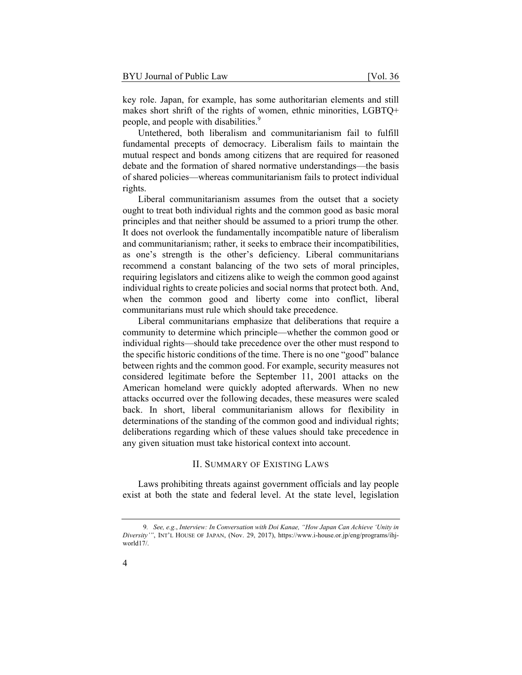key role. Japan, for example, has some authoritarian elements and still makes short shrift of the rights of women, ethnic minorities, LGBTQ+ people, and people with disabilities.<sup>9</sup>

Untethered, both liberalism and communitarianism fail to fulfill fundamental precepts of democracy. Liberalism fails to maintain the mutual respect and bonds among citizens that are required for reasoned debate and the formation of shared normative understandings—the basis of shared policies—whereas communitarianism fails to protect individual rights.

Liberal communitarianism assumes from the outset that a society ought to treat both individual rights and the common good as basic moral principles and that neither should be assumed to a priori trump the other*.*  It does not overlook the fundamentally incompatible nature of liberalism and communitarianism; rather, it seeks to embrace their incompatibilities, as one's strength is the other's deficiency. Liberal communitarians recommend a constant balancing of the two sets of moral principles, requiring legislators and citizens alike to weigh the common good against individual rights to create policies and social norms that protect both. And, when the common good and liberty come into conflict, liberal communitarians must rule which should take precedence.

Liberal communitarians emphasize that deliberations that require a community to determine which principle—whether the common good or individual rights—should take precedence over the other must respond to the specific historic conditions of the time. There is no one "good" balance between rights and the common good. For example, security measures not considered legitimate before the September 11, 2001 attacks on the American homeland were quickly adopted afterwards. When no new attacks occurred over the following decades, these measures were scaled back. In short, liberal communitarianism allows for flexibility in determinations of the standing of the common good and individual rights; deliberations regarding which of these values should take precedence in any given situation must take historical context into account.

# II. SUMMARY OF EXISTING LAWS

Laws prohibiting threats against government officials and lay people exist at both the state and federal level. At the state level, legislation

<sup>9</sup>*. See, e.g.*, *Interview: In Conversation with Doi Kanae, "How Japan Can Achieve 'Unity in Diversity'"*, INT'L HOUSE OF JAPAN, (Nov. 29, 2017), https://www.i-house.or.jp/eng/programs/ihjworld17/.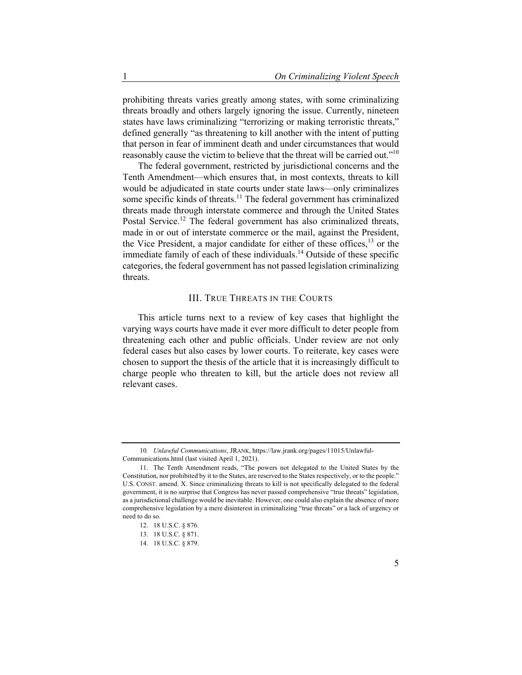prohibiting threats varies greatly among states, with some criminalizing threats broadly and others largely ignoring the issue. Currently, nineteen states have laws criminalizing "terrorizing or making terroristic threats," defined generally "as threatening to kill another with the intent of putting that person in fear of imminent death and under circumstances that would reasonably cause the victim to believe that the threat will be carried out."10

The federal government, restricted by jurisdictional concerns and the Tenth Amendment—which ensures that, in most contexts, threats to kill would be adjudicated in state courts under state laws—only criminalizes some specific kinds of threats.<sup>11</sup> The federal government has criminalized threats made through interstate commerce and through the United States Postal Service.<sup>12</sup> The federal government has also criminalized threats, made in or out of interstate commerce or the mail, against the President, the Vice President, a major candidate for either of these offices,  $13$  or the immediate family of each of these individuals.<sup>14</sup> Outside of these specific categories, the federal government has not passed legislation criminalizing threats.

## III. TRUE THREATS IN THE COURTS

This article turns next to a review of key cases that highlight the varying ways courts have made it ever more difficult to deter people from threatening each other and public officials. Under review are not only federal cases but also cases by lower courts. To reiterate, key cases were chosen to support the thesis of the article that it is increasingly difficult to charge people who threaten to kill, but the article does not review all relevant cases.

<sup>10</sup>*. Unlawful Communications*, JRANK, https://law.jrank.org/pages/11015/Unlawful-Communications.html (last visited April 1, 2021).

<sup>11.</sup> The Tenth Amendment reads, "The powers not delegated to the United States by the Constitution, nor prohibited by it to the States, are reserved to the States respectively, or to the people." U.S. CONST. amend. X. Since criminalizing threats to kill is not specifically delegated to the federal government, it is no surprise that Congress has never passed comprehensive "true threats" legislation, as a jurisdictional challenge would be inevitable. However, one could also explain the absence of more comprehensive legislation by a mere disinterest in criminalizing "true threats" or a lack of urgency or need to do so.

<sup>12. 18</sup> U.S.C. § 876.

<sup>13. 18</sup> U.S.C. § 871.

<sup>14. 18</sup> U.S.C. § 879.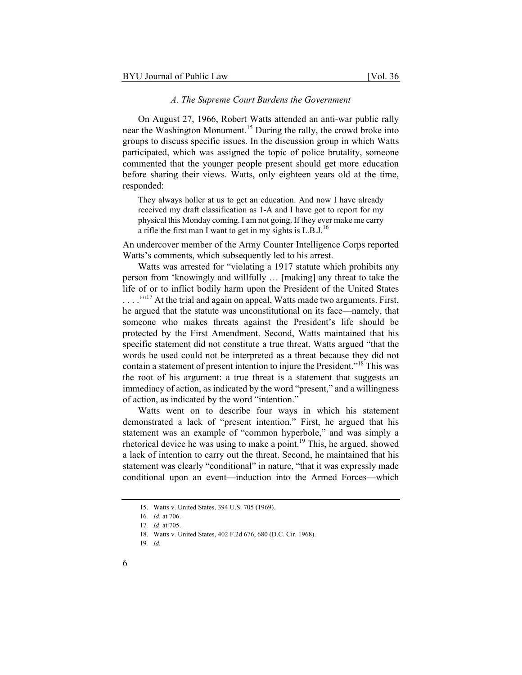#### *A. The Supreme Court Burdens the Government*

On August 27, 1966, Robert Watts attended an anti-war public rally near the Washington Monument.<sup>15</sup> During the rally, the crowd broke into groups to discuss specific issues. In the discussion group in which Watts participated, which was assigned the topic of police brutality, someone commented that the younger people present should get more education before sharing their views. Watts, only eighteen years old at the time, responded:

They always holler at us to get an education. And now I have already received my draft classification as 1-A and I have got to report for my physical this Monday coming. I am not going. If they ever make me carry a rifle the first man I want to get in my sights is  $L.B.J.<sup>16</sup>$ 

An undercover member of the Army Counter Intelligence Corps reported Watts's comments, which subsequently led to his arrest.

Watts was arrested for "violating a 1917 statute which prohibits any person from 'knowingly and willfully … [making] any threat to take the life of or to inflict bodily harm upon the President of the United States . . . . "<sup>17</sup> At the trial and again on appeal, Watts made two arguments. First, he argued that the statute was unconstitutional on its face—namely, that someone who makes threats against the President's life should be protected by the First Amendment. Second, Watts maintained that his specific statement did not constitute a true threat. Watts argued "that the words he used could not be interpreted as a threat because they did not contain a statement of present intention to injure the President."18 This was the root of his argument: a true threat is a statement that suggests an immediacy of action, as indicated by the word "present," and a willingness of action, as indicated by the word "intention."

Watts went on to describe four ways in which his statement demonstrated a lack of "present intention." First, he argued that his statement was an example of "common hyperbole," and was simply a rhetorical device he was using to make a point.<sup>19</sup> This, he argued, showed a lack of intention to carry out the threat. Second, he maintained that his statement was clearly "conditional" in nature, "that it was expressly made conditional upon an event—induction into the Armed Forces—which

<sup>15.</sup> Watts v. United States, 394 U.S. 705 (1969).

<sup>16</sup>*. Id.* at 706.

<sup>17</sup>*. Id*. at 705.

<sup>18.</sup> Watts v. United States, 402 F.2d 676, 680 (D.C. Cir. 1968).

<sup>19</sup>*. Id.*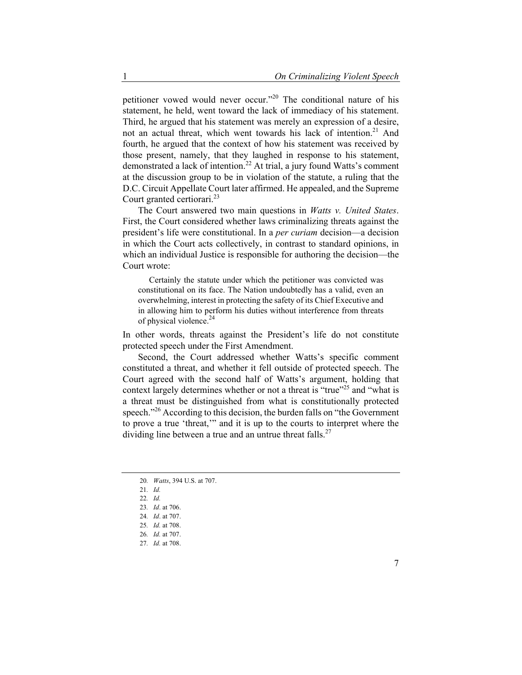petitioner vowed would never occur."20 The conditional nature of his statement, he held, went toward the lack of immediacy of his statement. Third, he argued that his statement was merely an expression of a desire, not an actual threat, which went towards his lack of intention.<sup>21</sup> And fourth, he argued that the context of how his statement was received by those present, namely, that they laughed in response to his statement, demonstrated a lack of intention.<sup>22</sup> At trial, a jury found Watts's comment at the discussion group to be in violation of the statute, a ruling that the D.C. Circuit Appellate Court later affirmed. He appealed, and the Supreme Court granted certiorari.<sup>23</sup>

The Court answered two main questions in *Watts v. United States*. First, the Court considered whether laws criminalizing threats against the president's life were constitutional. In a *per curiam* decision—a decision in which the Court acts collectively, in contrast to standard opinions, in which an individual Justice is responsible for authoring the decision—the Court wrote:

 Certainly the statute under which the petitioner was convicted was constitutional on its face. The Nation undoubtedly has a valid, even an overwhelming, interest in protecting the safety of its Chief Executive and in allowing him to perform his duties without interference from threats of physical violence.<sup>24</sup>

In other words, threats against the President's life do not constitute protected speech under the First Amendment.

Second, the Court addressed whether Watts's specific comment constituted a threat, and whether it fell outside of protected speech. The Court agreed with the second half of Watts's argument, holding that context largely determines whether or not a threat is "true"<sup>25</sup> and "what is a threat must be distinguished from what is constitutionally protected speech."<sup>26</sup> According to this decision, the burden falls on "the Government" to prove a true 'threat,'" and it is up to the courts to interpret where the dividing line between a true and an untrue threat falls. $27$ 

<sup>20</sup>*. Watts*, 394 U.S. at 707.

<sup>21</sup>*. Id.*

<sup>22</sup>*. Id.*

<sup>23</sup>*. Id*. at 706.

<sup>24</sup>*. Id*. at 707.

<sup>25</sup>*. Id.* at 708.

<sup>26</sup>*. Id.* at 707.

<sup>27</sup>*. Id.* at 708.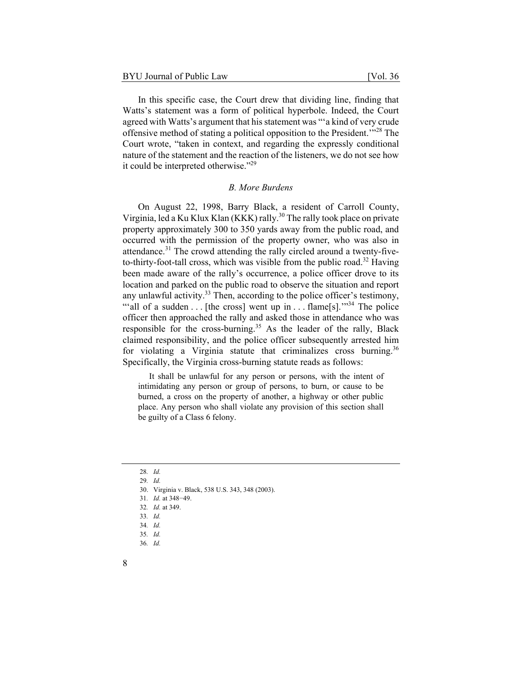In this specific case, the Court drew that dividing line, finding that Watts's statement was a form of political hyperbole. Indeed, the Court agreed with Watts's argument that his statement was "'a kind of very crude offensive method of stating a political opposition to the President.'"28 The Court wrote, "taken in context, and regarding the expressly conditional nature of the statement and the reaction of the listeners, we do not see how it could be interpreted otherwise."29

#### *B. More Burdens*

On August 22, 1998, Barry Black, a resident of Carroll County, Virginia, led a Ku Klux Klan (KKK) rally.<sup>30</sup> The rally took place on private property approximately 300 to 350 yards away from the public road, and occurred with the permission of the property owner, who was also in attendance.<sup>31</sup> The crowd attending the rally circled around a twenty-fiveto-thirty-foot-tall cross, which was visible from the public road.<sup>32</sup> Having been made aware of the rally's occurrence, a police officer drove to its location and parked on the public road to observe the situation and report any unlawful activity.<sup>33</sup> Then, according to the police officer's testimony, ""all of a sudden . . . [the cross] went up in . . . flame[s]." $3<sup>34</sup>$  The police officer then approached the rally and asked those in attendance who was responsible for the cross-burning.<sup>35</sup> As the leader of the rally, Black claimed responsibility, and the police officer subsequently arrested him for violating a Virginia statute that criminalizes cross burning.<sup>36</sup> Specifically, the Virginia cross-burning statute reads as follows:

 It shall be unlawful for any person or persons, with the intent of intimidating any person or group of persons, to burn, or cause to be burned, a cross on the property of another, a highway or other public place. Any person who shall violate any provision of this section shall be guilty of a Class 6 felony.

29*. Id.*

<sup>28</sup>*. Id.*

<sup>30.</sup> Virginia v. Black, 538 U.S. 343, 348 (2003).

<sup>31</sup>*. Id.* at 348−49.

<sup>32</sup>*. Id.* at 349.

<sup>33</sup>*. Id.*

<sup>34</sup>*. Id.*

<sup>35</sup>*. Id.*

<sup>36</sup>*. Id.*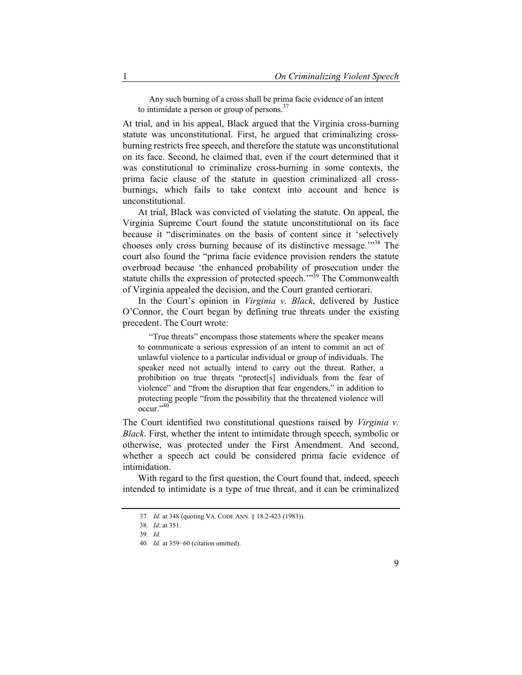Any such burning of a cross shall be prima facie evidence of an intent to intimidate a person or group of persons.<sup>37</sup>

At trial, and in his appeal, Black argued that the Virginia cross-burning statute was unconstitutional. First, he argued that criminalizing crossburning restricts free speech, and therefore the statute was unconstitutional on its face. Second, he claimed that, even if the court determined that it was constitutional to criminalize cross-burning in some contexts, the prima facie clause of the statute in question criminalized all crossburnings, which fails to take context into account and hence is unconstitutional.

At trial, Black was convicted of violating the statute. On appeal, the Virginia Supreme Court found the statute unconstitutional on its face because it "discriminates on the basis of content since it 'selectively chooses only cross burning because of its distinctive message.<sup>"38</sup> The court also found the "prima facie evidence provision renders the statute overbroad because 'the enhanced probability of prosecution under the statute chills the expression of protected speech."<sup>39</sup> The Commonwealth of Virginia appealed the decision, and the Court granted certiorari.

In the Court's opinion in *Virginia v. Black*, delivered by Justice O'Connor, the Court began by defining true threats under the existing precedent. The Court wrote:

 "True threats" encompass those statements where the speaker means to communicate a serious expression of an intent to commit an act of unlawful violence to a particular individual or group of individuals. The speaker need not actually intend to carry out the threat. Rather, a prohibition on true threats "protect[s] individuals from the fear of violence" and "from the disruption that fear engenders," in addition to protecting people "from the possibility that the threatened violence will occur."<sup>40</sup>

The Court identified two constitutional questions raised by *Virginia v. Black*. First, whether the intent to intimidate through speech, symbolic or otherwise, was protected under the First Amendment. And second, whether a speech act could be considered prima facie evidence of intimidation.

With regard to the first question, the Court found that, indeed, speech intended to intimidate is a type of true threat, and it can be criminalized

<sup>37</sup>*. Id.* at 348 (quoting VA. CODE ANN. § 18.2-423 (1983)).

<sup>38</sup>*. Id.* at 351.

<sup>39</sup>*. Id.*

<sup>40</sup>*. Id.* at 359−60 (citation omitted).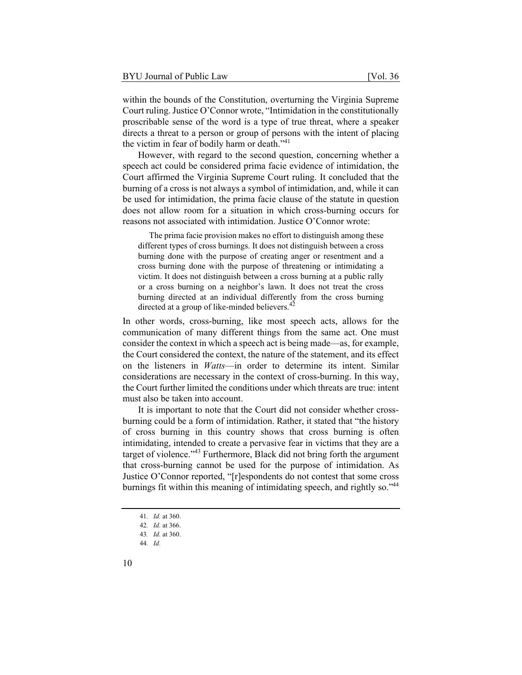within the bounds of the Constitution, overturning the Virginia Supreme Court ruling. Justice O'Connor wrote, "Intimidation in the constitutionally proscribable sense of the word is a type of true threat, where a speaker directs a threat to a person or group of persons with the intent of placing the victim in fear of bodily harm or death."<sup>41</sup>

However, with regard to the second question, concerning whether a speech act could be considered prima facie evidence of intimidation, the Court affirmed the Virginia Supreme Court ruling. It concluded that the burning of a cross is not always a symbol of intimidation, and, while it can be used for intimidation, the prima facie clause of the statute in question does not allow room for a situation in which cross-burning occurs for reasons not associated with intimidation. Justice O'Connor wrote:

 The prima facie provision makes no effort to distinguish among these different types of cross burnings. It does not distinguish between a cross burning done with the purpose of creating anger or resentment and a cross burning done with the purpose of threatening or intimidating a victim. It does not distinguish between a cross burning at a public rally or a cross burning on a neighbor's lawn. It does not treat the cross burning directed at an individual differently from the cross burning directed at a group of like-minded believers.<sup>42</sup>

In other words, cross-burning, like most speech acts, allows for the communication of many different things from the same act. One must consider the context in which a speech act is being made—as, for example, the Court considered the context, the nature of the statement, and its effect on the listeners in *Watts*—in order to determine its intent. Similar considerations are necessary in the context of cross-burning. In this way, the Court further limited the conditions under which threats are true: intent must also be taken into account.

It is important to note that the Court did not consider whether crossburning could be a form of intimidation. Rather, it stated that "the history of cross burning in this country shows that cross burning is often intimidating, intended to create a pervasive fear in victims that they are a target of violence."<sup>43</sup> Furthermore, Black did not bring forth the argument that cross-burning cannot be used for the purpose of intimidation. As Justice O'Connor reported, "[r]espondents do not contest that some cross burnings fit within this meaning of intimidating speech, and rightly so."<sup>44</sup>

<sup>41</sup>*. Id.* at 360.

<sup>42</sup>*. Id.* at 366.

<sup>43</sup>*. Id.* at 360.

<sup>44</sup>*. Id.*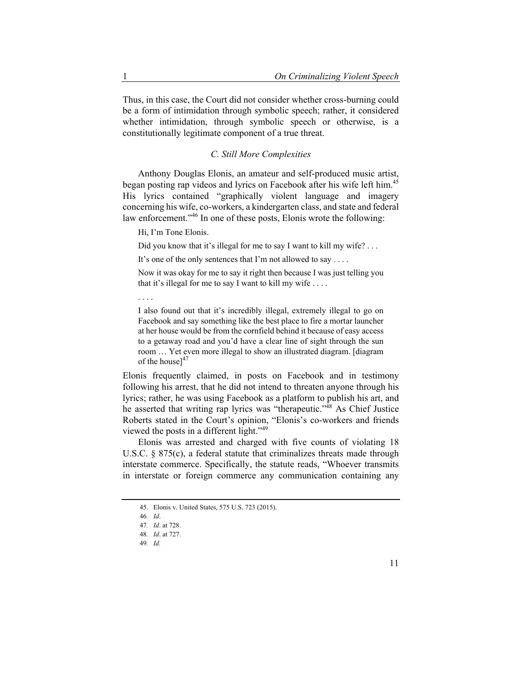Thus, in this case, the Court did not consider whether cross-burning could be a form of intimidation through symbolic speech; rather, it considered whether intimidation, through symbolic speech or otherwise, is a constitutionally legitimate component of a true threat.

# *C. Still More Complexities*

Anthony Douglas Elonis, an amateur and self-produced music artist, began posting rap videos and lyrics on Facebook after his wife left him.<sup>45</sup> His lyrics contained "graphically violent language and imagery concerning his wife, co-workers, a kindergarten class, and state and federal law enforcement."46 In one of these posts, Elonis wrote the following:

Hi, I'm Tone Elonis.

Did you know that it's illegal for me to say I want to kill my wife? ...

It's one of the only sentences that I'm not allowed to say . . . .

Now it was okay for me to say it right then because I was just telling you that it's illegal for me to say I want to kill my wife . . . .

. . . .

I also found out that it's incredibly illegal, extremely illegal to go on Facebook and say something like the best place to fire a mortar launcher at her house would be from the cornfield behind it because of easy access to a getaway road and you'd have a clear line of sight through the sun room … Yet even more illegal to show an illustrated diagram. [diagram of the house] $47$ 

Elonis frequently claimed, in posts on Facebook and in testimony following his arrest, that he did not intend to threaten anyone through his lyrics; rather, he was using Facebook as a platform to publish his art, and he asserted that writing rap lyrics was "therapeutic."48 As Chief Justice Roberts stated in the Court's opinion, "Elonis's co-workers and friends viewed the posts in a different light."<sup>49</sup>

Elonis was arrested and charged with five counts of violating 18 U.S.C. § 875(c), a federal statute that criminalizes threats made through interstate commerce. Specifically, the statute reads, "Whoever transmits in interstate or foreign commerce any communication containing any

<sup>45.</sup> Elonis v. United States, 575 U.S. 723 (2015).

<sup>46</sup>*. Id*.

<sup>47</sup>*. Id*. at 728.

<sup>48</sup>*. Id*. at 727.

<sup>49</sup>*. Id.*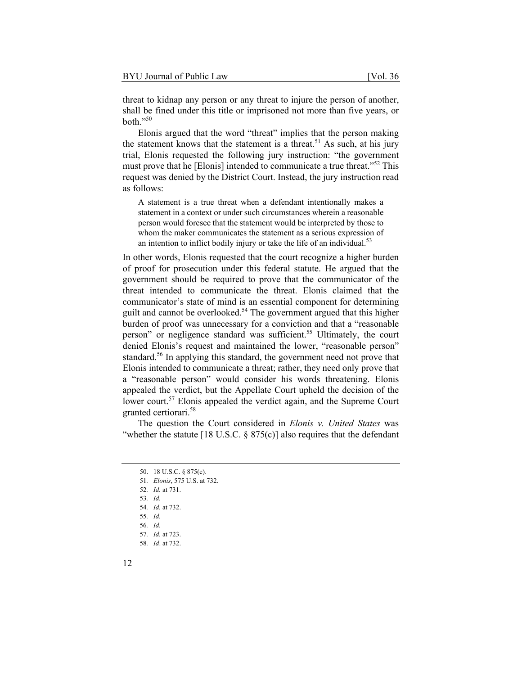threat to kidnap any person or any threat to injure the person of another, shall be fined under this title or imprisoned not more than five years, or both."50

Elonis argued that the word "threat" implies that the person making the statement knows that the statement is a threat.<sup>51</sup> As such, at his jury trial, Elonis requested the following jury instruction: "the government must prove that he [Elonis] intended to communicate a true threat."<sup>52</sup> This request was denied by the District Court. Instead, the jury instruction read as follows:

A statement is a true threat when a defendant intentionally makes a statement in a context or under such circumstances wherein a reasonable person would foresee that the statement would be interpreted by those to whom the maker communicates the statement as a serious expression of an intention to inflict bodily injury or take the life of an individual. $53$ 

In other words, Elonis requested that the court recognize a higher burden of proof for prosecution under this federal statute. He argued that the government should be required to prove that the communicator of the threat intended to communicate the threat. Elonis claimed that the communicator's state of mind is an essential component for determining guilt and cannot be overlooked.<sup>54</sup> The government argued that this higher burden of proof was unnecessary for a conviction and that a "reasonable person" or negligence standard was sufficient.<sup>55</sup> Ultimately, the court denied Elonis's request and maintained the lower, "reasonable person" standard.<sup>56</sup> In applying this standard, the government need not prove that Elonis intended to communicate a threat; rather, they need only prove that a "reasonable person" would consider his words threatening. Elonis appealed the verdict, but the Appellate Court upheld the decision of the lower court.<sup>57</sup> Elonis appealed the verdict again, and the Supreme Court granted certiorari.<sup>58</sup>

The question the Court considered in *Elonis v. United States* was "whether the statute [18 U.S.C.  $\S 875(c)$ ] also requires that the defendant

<sup>50. 18</sup> U.S.C. § 875(c).

<sup>51</sup>*. Elonis*, 575 U.S. at 732.

<sup>52</sup>*. Id.* at 731.

<sup>53</sup>*. Id.*

<sup>54</sup>*. Id.* at 732.

<sup>55</sup>*. Id.*

<sup>56</sup>*. Id.*

<sup>57</sup>*. Id.* at 723. 58*. Id*. at 732.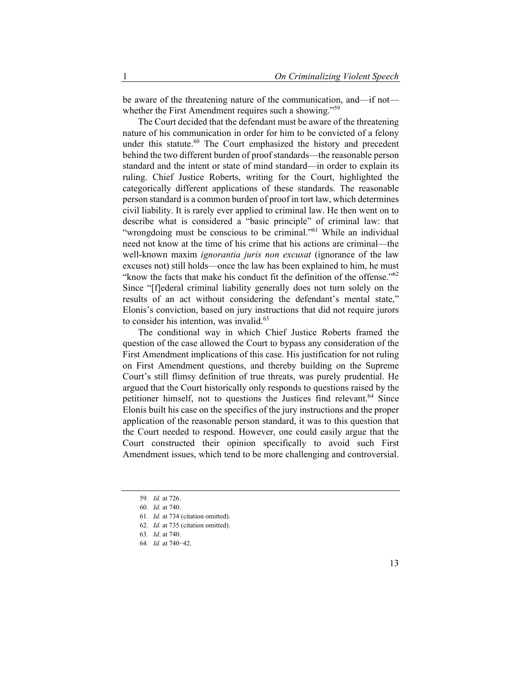be aware of the threatening nature of the communication, and—if not whether the First Amendment requires such a showing."<sup>59</sup>

The Court decided that the defendant must be aware of the threatening nature of his communication in order for him to be convicted of a felony under this statute. $60$  The Court emphasized the history and precedent behind the two different burden of proof standards—the reasonable person standard and the intent or state of mind standard—in order to explain its ruling. Chief Justice Roberts, writing for the Court, highlighted the categorically different applications of these standards. The reasonable person standard is a common burden of proof in tort law, which determines civil liability. It is rarely ever applied to criminal law. He then went on to describe what is considered a "basic principle" of criminal law: that "wrongdoing must be conscious to be criminal."<sup>61</sup> While an individual need not know at the time of his crime that his actions are criminal—the well-known maxim *ignorantia juris non excusat* (ignorance of the law excuses not) still holds—once the law has been explained to him, he must "know the facts that make his conduct fit the definition of the offense." $62$ Since "[f]ederal criminal liability generally does not turn solely on the results of an act without considering the defendant's mental state," Elonis's conviction, based on jury instructions that did not require jurors to consider his intention, was invalid.<sup>63</sup>

The conditional way in which Chief Justice Roberts framed the question of the case allowed the Court to bypass any consideration of the First Amendment implications of this case. His justification for not ruling on First Amendment questions, and thereby building on the Supreme Court's still flimsy definition of true threats, was purely prudential. He argued that the Court historically only responds to questions raised by the petitioner himself, not to questions the Justices find relevant.<sup>64</sup> Since Elonis built his case on the specifics of the jury instructions and the proper application of the reasonable person standard, it was to this question that the Court needed to respond. However, one could easily argue that the Court constructed their opinion specifically to avoid such First Amendment issues, which tend to be more challenging and controversial.

<sup>59</sup>*. Id.* at 726.

<sup>60</sup>*. Id.* at 740.

<sup>61</sup>*. Id.* at 734 (citation omitted).

<sup>62</sup>*. Id.* at 735 (citation omitted).

<sup>63</sup>*. Id*. at 740.

<sup>64</sup>*. Id.* at 740−42.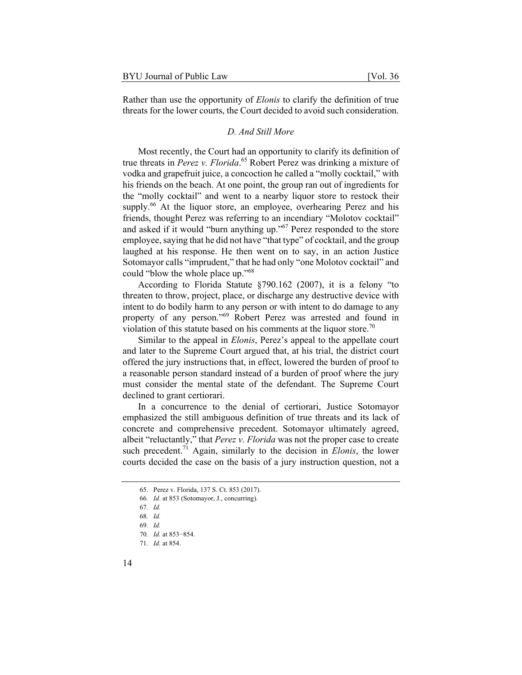Rather than use the opportunity of *Elonis* to clarify the definition of true threats for the lower courts, the Court decided to avoid such consideration.

#### *D. And Still More*

Most recently, the Court had an opportunity to clarify its definition of true threats in *Perez v. Florida*. 65 Robert Perez was drinking a mixture of vodka and grapefruit juice, a concoction he called a "molly cocktail," with his friends on the beach. At one point, the group ran out of ingredients for the "molly cocktail" and went to a nearby liquor store to restock their supply.<sup>66</sup> At the liquor store, an employee, overhearing Perez and his friends, thought Perez was referring to an incendiary "Molotov cocktail" and asked if it would "burn anything up."67 Perez responded to the store employee, saying that he did not have "that type" of cocktail, and the group laughed at his response. He then went on to say, in an action Justice Sotomayor calls "imprudent," that he had only "one Molotov cocktail" and could "blow the whole place up."<sup>68</sup>

According to Florida Statute §790.162 (2007), it is a felony "to threaten to throw, project, place, or discharge any destructive device with intent to do bodily harm to any person or with intent to do damage to any property of any person."69 Robert Perez was arrested and found in violation of this statute based on his comments at the liquor store.<sup>70</sup>

Similar to the appeal in *Elonis*, Perez's appeal to the appellate court and later to the Supreme Court argued that, at his trial, the district court offered the jury instructions that, in effect, lowered the burden of proof to a reasonable person standard instead of a burden of proof where the jury must consider the mental state of the defendant. The Supreme Court declined to grant certiorari.

In a concurrence to the denial of certiorari, Justice Sotomayor emphasized the still ambiguous definition of true threats and its lack of concrete and comprehensive precedent. Sotomayor ultimately agreed, albeit "reluctantly," that *Perez v. Florida* was not the proper case to create such precedent.<sup>71</sup> Again, similarly to the decision in *Elonis*, the lower courts decided the case on the basis of a jury instruction question, not a

<sup>65.</sup> Perez v. Florida, 137 S. Ct. 853 (2017).

<sup>66</sup>*. Id*. at 853 (Sotomayor, J., concurring).

<sup>67</sup>*. Id.*

<sup>68</sup>*. Id.*

<sup>69</sup>*. Id.*

<sup>70</sup>*. Id.* at 853−854.

<sup>71</sup>*. Id.* at 854.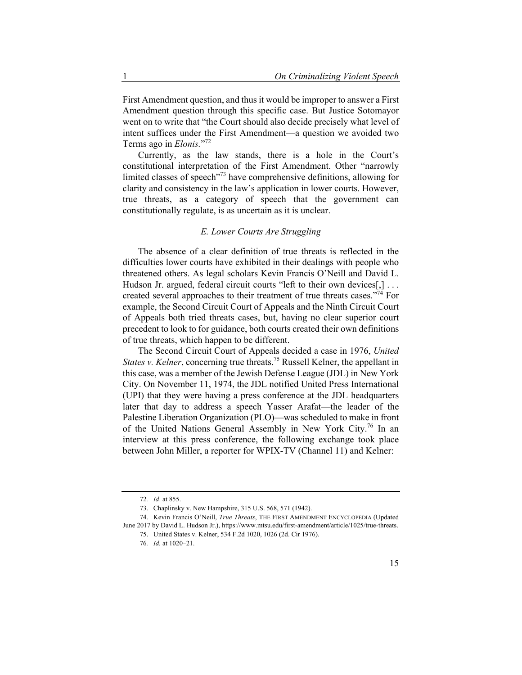First Amendment question, and thus it would be improper to answer a First Amendment question through this specific case. But Justice Sotomayor went on to write that "the Court should also decide precisely what level of intent suffices under the First Amendment—a question we avoided two Terms ago in *Elonis.*"72

Currently, as the law stands, there is a hole in the Court's constitutional interpretation of the First Amendment. Other "narrowly limited classes of speech<sup>173</sup> have comprehensive definitions, allowing for clarity and consistency in the law's application in lower courts. However, true threats, as a category of speech that the government can constitutionally regulate, is as uncertain as it is unclear.

### *E. Lower Courts Are Struggling*

The absence of a clear definition of true threats is reflected in the difficulties lower courts have exhibited in their dealings with people who threatened others. As legal scholars Kevin Francis O'Neill and David L. Hudson Jr. argued, federal circuit courts "left to their own devices[,] ... created several approaches to their treatment of true threats cases."<sup>74</sup> For example, the Second Circuit Court of Appeals and the Ninth Circuit Court of Appeals both tried threats cases, but, having no clear superior court precedent to look to for guidance, both courts created their own definitions of true threats, which happen to be different.

The Second Circuit Court of Appeals decided a case in 1976, *United States v. Kelner*, concerning true threats.<sup>75</sup> Russell Kelner, the appellant in this case, was a member of the Jewish Defense League (JDL) in New York City. On November 11, 1974, the JDL notified United Press International (UPI) that they were having a press conference at the JDL headquarters later that day to address a speech Yasser Arafat—the leader of the Palestine Liberation Organization (PLO)—was scheduled to make in front of the United Nations General Assembly in New York City.<sup>76</sup> In an interview at this press conference, the following exchange took place between John Miller, a reporter for WPIX-TV (Channel 11) and Kelner:

<sup>72</sup>*. Id*. at 855.

<sup>73.</sup> Chaplinsky v. New Hampshire, 315 U.S. 568, 571 (1942).

<sup>74.</sup> Kevin Francis O'Neill, *True Threats*, THE FIRST AMENDMENT ENCYCLOPEDIA (Updated June 2017 by David L. Hudson Jr.), https://www.mtsu.edu/first-amendment/article/1025/true-threats.

<sup>75.</sup> United States v. Kelner, 534 F.2d 1020, 1026 (2d. Cir 1976).

<sup>76</sup>*. Id.* at 1020–21.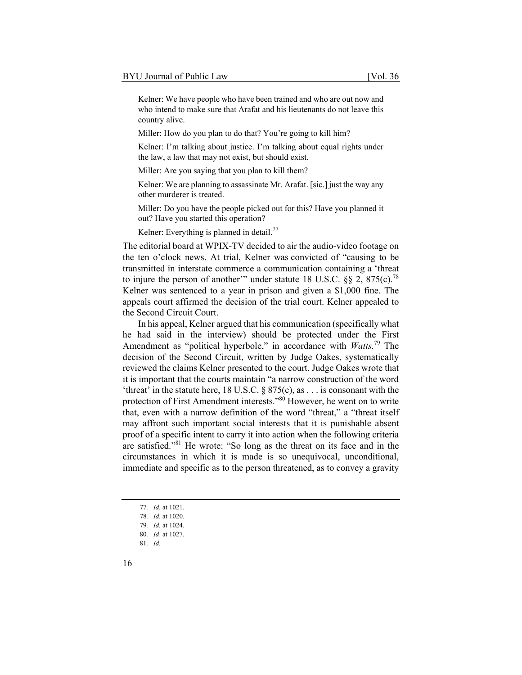Kelner: We have people who have been trained and who are out now and who intend to make sure that Arafat and his lieutenants do not leave this country alive.

Miller: How do you plan to do that? You're going to kill him?

Kelner: I'm talking about justice. I'm talking about equal rights under the law, a law that may not exist, but should exist.

Miller: Are you saying that you plan to kill them?

Kelner: We are planning to assassinate Mr. Arafat. [sic.] just the way any other murderer is treated.

Miller: Do you have the people picked out for this? Have you planned it out? Have you started this operation?

Kelner: Everything is planned in detail.<sup>77</sup>

The editorial board at WPIX-TV decided to air the audio-video footage on the ten o'clock news. At trial, Kelner was convicted of "causing to be transmitted in interstate commerce a communication containing a 'threat to injure the person of another'" under statute 18 U.S.C.  $\S$ § 2, 875(c).<sup>78</sup> Kelner was sentenced to a year in prison and given a \$1,000 fine. The appeals court affirmed the decision of the trial court. Kelner appealed to the Second Circuit Court.

In his appeal, Kelner argued that his communication (specifically what he had said in the interview) should be protected under the First Amendment as "political hyperbole," in accordance with *Watts.*79 The decision of the Second Circuit, written by Judge Oakes, systematically reviewed the claims Kelner presented to the court. Judge Oakes wrote that it is important that the courts maintain "a narrow construction of the word 'threat' in the statute here,  $18$  U.S.C.  $\S 875(c)$ , as . . . is consonant with the protection of First Amendment interests."80 However, he went on to write that, even with a narrow definition of the word "threat," a "threat itself may affront such important social interests that it is punishable absent proof of a specific intent to carry it into action when the following criteria are satisfied."81 He wrote: "So long as the threat on its face and in the circumstances in which it is made is so unequivocal, unconditional, immediate and specific as to the person threatened, as to convey a gravity

<sup>77</sup>*. Id.* at 1021.

<sup>78</sup>*. Id.* at 1020.

<sup>79</sup>*. Id.* at 1024.

<sup>80</sup>*. Id*. at 1027.

<sup>81</sup>*. Id.*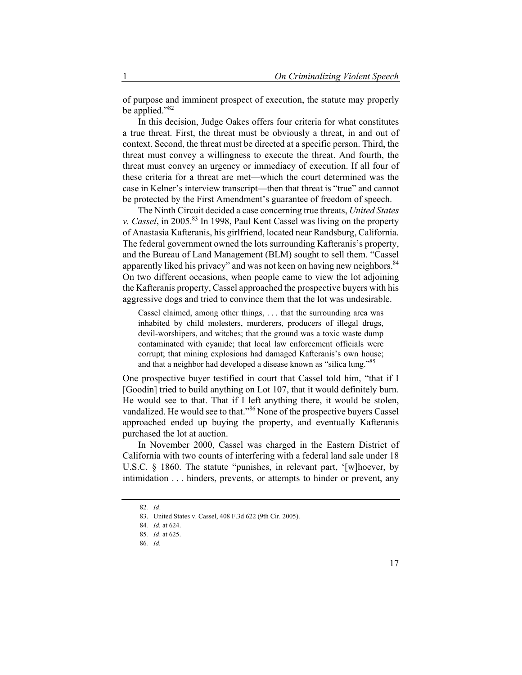of purpose and imminent prospect of execution, the statute may properly be applied."<sup>82</sup>

In this decision, Judge Oakes offers four criteria for what constitutes a true threat. First, the threat must be obviously a threat, in and out of context. Second, the threat must be directed at a specific person. Third, the threat must convey a willingness to execute the threat. And fourth, the threat must convey an urgency or immediacy of execution. If all four of these criteria for a threat are met—which the court determined was the case in Kelner's interview transcript—then that threat is "true" and cannot be protected by the First Amendment's guarantee of freedom of speech.

The Ninth Circuit decided a case concerning true threats, *United States v. Cassel*, in 2005.<sup>83</sup> In 1998, Paul Kent Cassel was living on the property of Anastasia Kafteranis, his girlfriend, located near Randsburg, California. The federal government owned the lots surrounding Kafteranis's property, and the Bureau of Land Management (BLM) sought to sell them. "Cassel apparently liked his privacy" and was not keen on having new neighbors.<sup>84</sup> On two different occasions, when people came to view the lot adjoining the Kafteranis property, Cassel approached the prospective buyers with his aggressive dogs and tried to convince them that the lot was undesirable.

Cassel claimed, among other things, . . . that the surrounding area was inhabited by child molesters, murderers, producers of illegal drugs, devil-worshipers, and witches; that the ground was a toxic waste dump contaminated with cyanide; that local law enforcement officials were corrupt; that mining explosions had damaged Kafteranis's own house; and that a neighbor had developed a disease known as "silica lung."<sup>85</sup>

One prospective buyer testified in court that Cassel told him, "that if I [Goodin] tried to build anything on Lot 107, that it would definitely burn. He would see to that. That if I left anything there, it would be stolen, vandalized. He would see to that."<sup>86</sup> None of the prospective buyers Cassel approached ended up buying the property, and eventually Kafteranis purchased the lot at auction.

In November 2000, Cassel was charged in the Eastern District of California with two counts of interfering with a federal land sale under 18 U.S.C. § 1860. The statute "punishes, in relevant part, '[w]hoever, by intimidation . . . hinders, prevents, or attempts to hinder or prevent, any

<sup>82</sup>*. Id*.

<sup>83.</sup> United States v. Cassel, 408 F.3d 622 (9th Cir. 2005).

<sup>84</sup>*. Id.* at 624.

<sup>85</sup>*. Id*. at 625.

<sup>86</sup>*. Id.*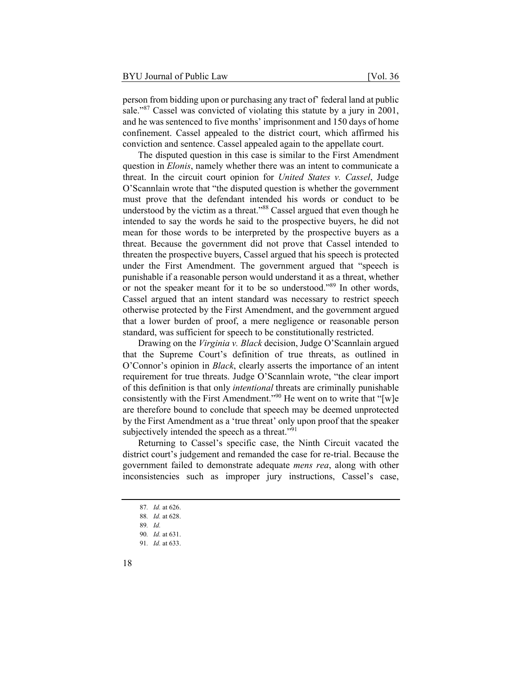person from bidding upon or purchasing any tract of' federal land at public sale."<sup>87</sup> Cassel was convicted of violating this statute by a jury in 2001, and he was sentenced to five months' imprisonment and 150 days of home confinement. Cassel appealed to the district court, which affirmed his conviction and sentence. Cassel appealed again to the appellate court.

The disputed question in this case is similar to the First Amendment question in *Elonis*, namely whether there was an intent to communicate a threat. In the circuit court opinion for *United States v. Cassel*, Judge O'Scannlain wrote that "the disputed question is whether the government must prove that the defendant intended his words or conduct to be understood by the victim as a threat."<sup>88</sup> Cassel argued that even though he intended to say the words he said to the prospective buyers, he did not mean for those words to be interpreted by the prospective buyers as a threat. Because the government did not prove that Cassel intended to threaten the prospective buyers, Cassel argued that his speech is protected under the First Amendment. The government argued that "speech is punishable if a reasonable person would understand it as a threat, whether or not the speaker meant for it to be so understood."89 In other words, Cassel argued that an intent standard was necessary to restrict speech otherwise protected by the First Amendment, and the government argued that a lower burden of proof, a mere negligence or reasonable person standard, was sufficient for speech to be constitutionally restricted.

Drawing on the *Virginia v. Black* decision, Judge O'Scannlain argued that the Supreme Court's definition of true threats, as outlined in O'Connor's opinion in *Black*, clearly asserts the importance of an intent requirement for true threats. Judge O'Scannlain wrote, "the clear import of this definition is that only *intentional* threats are criminally punishable consistently with the First Amendment."<sup>90</sup> He went on to write that "[w]e are therefore bound to conclude that speech may be deemed unprotected by the First Amendment as a 'true threat' only upon proof that the speaker subjectively intended the speech as a threat."<sup>91</sup>

Returning to Cassel's specific case, the Ninth Circuit vacated the district court's judgement and remanded the case for re-trial. Because the government failed to demonstrate adequate *mens rea*, along with other inconsistencies such as improper jury instructions, Cassel's case,

<sup>87</sup>*. Id.* at 626.

<sup>88</sup>*. Id.* at 628.

<sup>89</sup>*. Id.*

<sup>90</sup>*. Id.* at 631.

<sup>91</sup>*. Id.* at 633.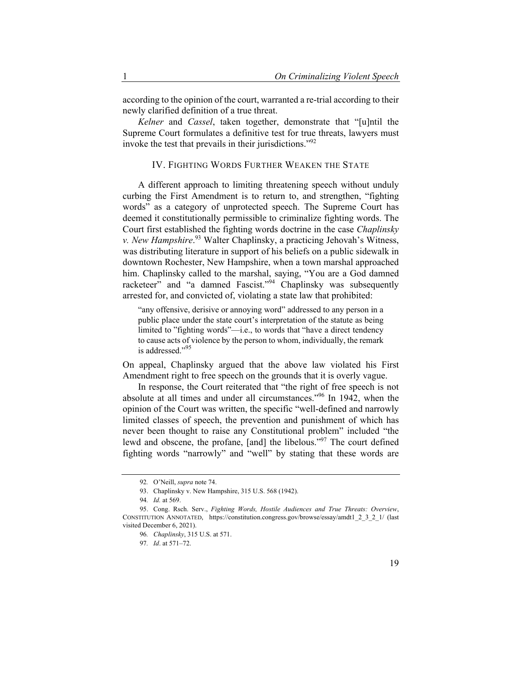according to the opinion of the court, warranted a re-trial according to their newly clarified definition of a true threat.

*Kelner* and *Cassel*, taken together, demonstrate that "[u]ntil the Supreme Court formulates a definitive test for true threats, lawyers must invoke the test that prevails in their jurisdictions."92

# IV. FIGHTING WORDS FURTHER WEAKEN THE STATE

A different approach to limiting threatening speech without unduly curbing the First Amendment is to return to, and strengthen, "fighting words" as a category of unprotected speech. The Supreme Court has deemed it constitutionally permissible to criminalize fighting words. The Court first established the fighting words doctrine in the case *Chaplinsky v. New Hampshire*. 93 Walter Chaplinsky, a practicing Jehovah's Witness, was distributing literature in support of his beliefs on a public sidewalk in downtown Rochester, New Hampshire, when a town marshal approached him. Chaplinsky called to the marshal, saying, "You are a God damned racketeer" and "a damned Fascist."<sup>94</sup> Chaplinsky was subsequently arrested for, and convicted of, violating a state law that prohibited:

"any offensive, derisive or annoying word" addressed to any person in a public place under the state court's interpretation of the statute as being limited to "fighting words"—i.e., to words that "have a direct tendency to cause acts of violence by the person to whom, individually, the remark is addressed."95

On appeal, Chaplinsky argued that the above law violated his First Amendment right to free speech on the grounds that it is overly vague.

In response, the Court reiterated that "the right of free speech is not absolute at all times and under all circumstances."96 In 1942, when the opinion of the Court was written, the specific "well-defined and narrowly limited classes of speech, the prevention and punishment of which has never been thought to raise any Constitutional problem" included "the lewd and obscene, the profane, [and] the libelous."97 The court defined fighting words "narrowly" and "well" by stating that these words are

<sup>92</sup>*.* O'Neill, *supra* note 74.

<sup>93.</sup> Chaplinsky v. New Hampshire, 315 U.S. 568 (1942).

<sup>94</sup>*. Id.* at 569.

<sup>95.</sup> Cong. Rsch. Serv., *Fighting Words, Hostile Audiences and True Threats: Overview*, CONSTITUTION ANNOTATED, https://constitution.congress.gov/browse/essay/amdt1\_2\_3\_2\_1/ (last visited December 6, 2021).

<sup>96</sup>*. Chaplinsky*, 315 U.S. at 571.

<sup>97</sup>*. Id*. at 571–72.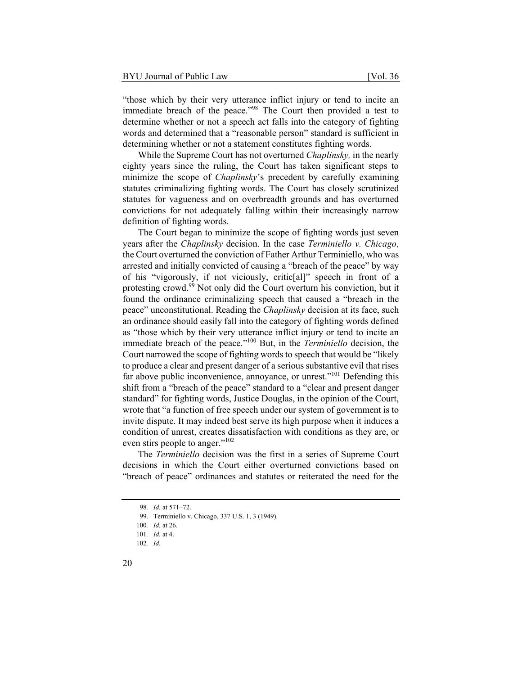"those which by their very utterance inflict injury or tend to incite an immediate breach of the peace."<sup>98</sup> The Court then provided a test to determine whether or not a speech act falls into the category of fighting words and determined that a "reasonable person" standard is sufficient in determining whether or not a statement constitutes fighting words.

While the Supreme Court has not overturned *Chaplinsky,* in the nearly eighty years since the ruling, the Court has taken significant steps to minimize the scope of *Chaplinsky*'s precedent by carefully examining statutes criminalizing fighting words. The Court has closely scrutinized statutes for vagueness and on overbreadth grounds and has overturned convictions for not adequately falling within their increasingly narrow definition of fighting words.

The Court began to minimize the scope of fighting words just seven years after the *Chaplinsky* decision. In the case *Terminiello v. Chicago*, the Court overturned the conviction of Father Arthur Terminiello, who was arrested and initially convicted of causing a "breach of the peace" by way of his "vigorously, if not viciously, critic[al]" speech in front of a protesting crowd.99 Not only did the Court overturn his conviction, but it found the ordinance criminalizing speech that caused a "breach in the peace" unconstitutional. Reading the *Chaplinsky* decision at its face, such an ordinance should easily fall into the category of fighting words defined as "those which by their very utterance inflict injury or tend to incite an immediate breach of the peace."100 But, in the *Terminiello* decision, the Court narrowed the scope of fighting words to speech that would be "likely to produce a clear and present danger of a serious substantive evil that rises far above public inconvenience, annoyance, or unrest."<sup>101</sup> Defending this shift from a "breach of the peace" standard to a "clear and present danger standard" for fighting words, Justice Douglas, in the opinion of the Court, wrote that "a function of free speech under our system of government is to invite dispute. It may indeed best serve its high purpose when it induces a condition of unrest, creates dissatisfaction with conditions as they are, or even stirs people to anger."<sup>102</sup>

The *Terminiello* decision was the first in a series of Supreme Court decisions in which the Court either overturned convictions based on "breach of peace" ordinances and statutes or reiterated the need for the

<sup>98</sup>*. Id.* at 571–72.

<sup>99.</sup> Terminiello v. Chicago, 337 U.S. 1, 3 (1949).

<sup>100</sup>*. Id.* at 26.

<sup>101</sup>*. Id.* at 4.

<sup>102</sup>*. Id.*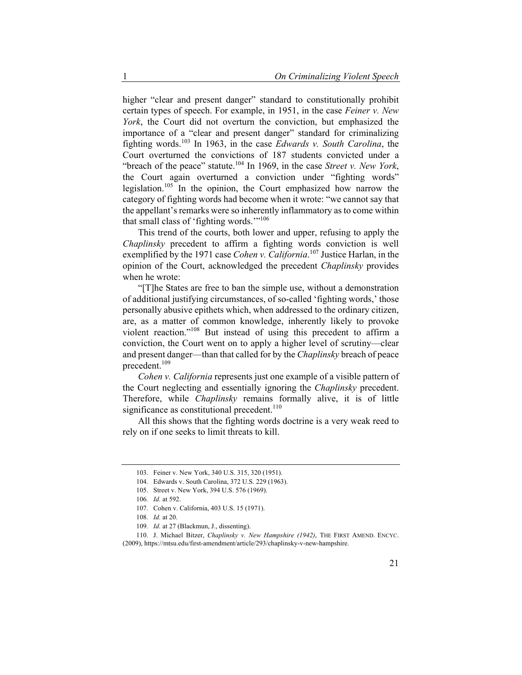higher "clear and present danger" standard to constitutionally prohibit certain types of speech. For example, in 1951, in the case *Feiner v. New York*, the Court did not overturn the conviction, but emphasized the importance of a "clear and present danger" standard for criminalizing fighting words.103 In 1963, in the case *Edwards v. South Carolina*, the Court overturned the convictions of 187 students convicted under a "breach of the peace" statute.<sup>104</sup> In 1969, in the case *Street v. New York*, the Court again overturned a conviction under "fighting words" legislation.105 In the opinion, the Court emphasized how narrow the category of fighting words had become when it wrote: "we cannot say that the appellant's remarks were so inherently inflammatory as to come within that small class of 'fighting words.'"<sup>106</sup>

This trend of the courts, both lower and upper, refusing to apply the *Chaplinsky* precedent to affirm a fighting words conviction is well exemplified by the 1971 case *Cohen v. California*. 107 Justice Harlan, in the opinion of the Court, acknowledged the precedent *Chaplinsky* provides when he wrote:

"[T]he States are free to ban the simple use, without a demonstration of additional justifying circumstances, of so-called 'fighting words,' those personally abusive epithets which, when addressed to the ordinary citizen, are, as a matter of common knowledge, inherently likely to provoke violent reaction."108 But instead of using this precedent to affirm a conviction, the Court went on to apply a higher level of scrutiny—clear and present danger—than that called for by the *Chaplinsky* breach of peace precedent.<sup>109</sup>

*Cohen v. California* represents just one example of a visible pattern of the Court neglecting and essentially ignoring the *Chaplinsky* precedent. Therefore, while *Chaplinsky* remains formally alive, it is of little significance as constitutional precedent.<sup>110</sup>

All this shows that the fighting words doctrine is a very weak reed to rely on if one seeks to limit threats to kill.

<sup>103.</sup> Feiner v. New York, 340 U.S. 315, 320 (1951).

<sup>104.</sup> Edwards v. South Carolina, 372 U.S. 229 (1963).

<sup>105.</sup> Street v. New York, 394 U.S. 576 (1969).

<sup>106</sup>*. Id.* at 592.

<sup>107.</sup> Cohen v. California, 403 U.S. 15 (1971).

<sup>108</sup>*. Id.* at 20.

<sup>109</sup>*. Id.* at 27 (Blackmun, J., dissenting).

<sup>110.</sup> J. Michael Bitzer, *Chaplinsky v. New Hampshire (1942)*, THE FIRST AMEND. ENCYC. (2009), https://mtsu.edu/first-amendment/article/293/chaplinsky-v-new-hampshire.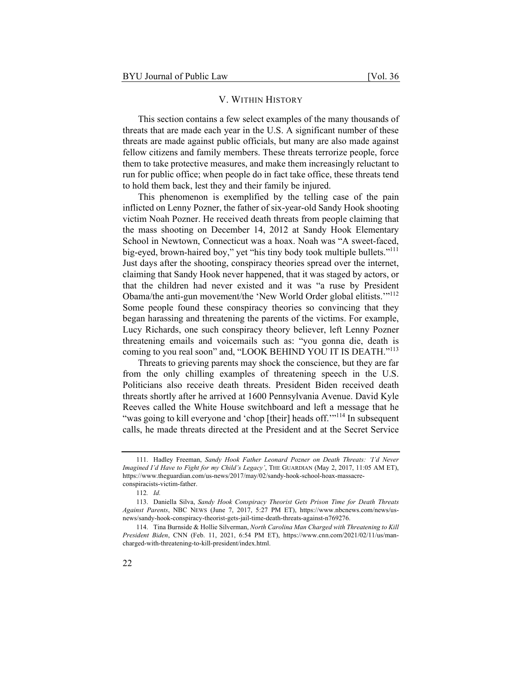#### V. WITHIN HISTORY

This section contains a few select examples of the many thousands of threats that are made each year in the U.S. A significant number of these threats are made against public officials, but many are also made against fellow citizens and family members. These threats terrorize people, force them to take protective measures, and make them increasingly reluctant to run for public office; when people do in fact take office, these threats tend to hold them back, lest they and their family be injured.

This phenomenon is exemplified by the telling case of the pain inflicted on Lenny Pozner, the father of six-year-old Sandy Hook shooting victim Noah Pozner. He received death threats from people claiming that the mass shooting on December 14, 2012 at Sandy Hook Elementary School in Newtown, Connecticut was a hoax. Noah was "A sweet-faced, big-eyed, brown-haired boy," yet "his tiny body took multiple bullets."<sup>111</sup> Just days after the shooting, conspiracy theories spread over the internet, claiming that Sandy Hook never happened, that it was staged by actors, or that the children had never existed and it was "a ruse by President Obama/the anti-gun movement/the 'New World Order global elitists.'"<sup>112</sup> Some people found these conspiracy theories so convincing that they began harassing and threatening the parents of the victims. For example, Lucy Richards, one such conspiracy theory believer, left Lenny Pozner threatening emails and voicemails such as: "you gonna die, death is coming to you real soon" and, "LOOK BEHIND YOU IT IS DEATH."<sup>113</sup>

Threats to grieving parents may shock the conscience, but they are far from the only chilling examples of threatening speech in the U.S. Politicians also receive death threats. President Biden received death threats shortly after he arrived at 1600 Pennsylvania Avenue. David Kyle Reeves called the White House switchboard and left a message that he "was going to kill everyone and 'chop [their] heads off."<sup>114</sup> In subsequent calls, he made threats directed at the President and at the Secret Service

<sup>111.</sup> Hadley Freeman, *Sandy Hook Father Leonard Pozner on Death Threats: 'I'd Never Imagined I'd Have to Fight for my Child's Legacy'*, THE GUARDIAN (May 2, 2017, 11:05 AM ET), https://www.theguardian.com/us-news/2017/may/02/sandy-hook-school-hoax-massacreconspiracists-victim-father.

<sup>112</sup>*. Id.*

<sup>113.</sup> Daniella Silva, *Sandy Hook Conspiracy Theorist Gets Prison Time for Death Threats Against Parents*, NBC NEWS (June 7, 2017, 5:27 PM ET), https://www.nbcnews.com/news/usnews/sandy-hook-conspiracy-theorist-gets-jail-time-death-threats-against-n769276.

<sup>114.</sup> Tina Burnside & Hollie Silverman, *North Carolina Man Charged with Threatening to Kill President Biden*, CNN (Feb. 11, 2021, 6:54 PM ET), https://www.cnn.com/2021/02/11/us/mancharged-with-threatening-to-kill-president/index.html.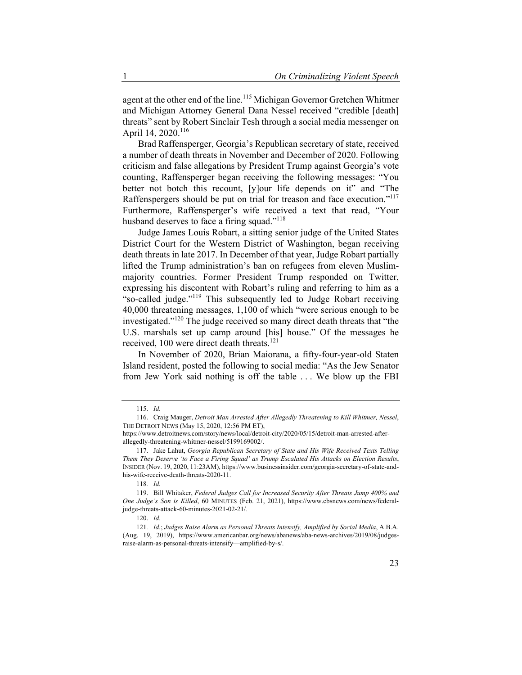agent at the other end of the line.<sup>115</sup> Michigan Governor Gretchen Whitmer and Michigan Attorney General Dana Nessel received "credible [death] threats" sent by Robert Sinclair Tesh through a social media messenger on April 14, 2020.<sup>116</sup>

Brad Raffensperger, Georgia's Republican secretary of state, received a number of death threats in November and December of 2020. Following criticism and false allegations by President Trump against Georgia's vote counting, Raffensperger began receiving the following messages: "You better not botch this recount, [y]our life depends on it" and "The Raffenspergers should be put on trial for treason and face execution."<sup>117</sup> Furthermore, Raffensperger's wife received a text that read, "Your husband deserves to face a firing squad."<sup>118</sup>

Judge James Louis Robart, a sitting senior judge of the United States District Court for the Western District of Washington, began receiving death threats in late 2017. In December of that year, Judge Robart partially lifted the Trump administration's ban on refugees from eleven Muslimmajority countries. Former President Trump responded on Twitter, expressing his discontent with Robart's ruling and referring to him as a "so-called judge."119 This subsequently led to Judge Robart receiving 40,000 threatening messages, 1,100 of which "were serious enough to be investigated."120 The judge received so many direct death threats that "the U.S. marshals set up camp around [his] house." Of the messages he received, 100 were direct death threats.<sup>121</sup>

In November of 2020, Brian Maiorana, a fifty-four-year-old Staten Island resident, posted the following to social media: "As the Jew Senator from Jew York said nothing is off the table . . . We blow up the FBI

<sup>115.</sup> *Id.* 

<sup>116.</sup> Craig Mauger, *Detroit Man Arrested After Allegedly Threatening to Kill Whitmer, Nessel*, THE DETROIT NEWS (May 15, 2020, 12:56 PM ET),

https://www.detroitnews.com/story/news/local/detroit-city/2020/05/15/detroit-man-arrested-afterallegedly-threatening-whitmer-nessel/5199169002/.

<sup>117.</sup> Jake Lahut, *Georgia Republican Secretary of State and His Wife Received Texts Telling Them They Deserve 'to Face a Firing Squad' as Trump Escalated His Attacks on Election Results*, INSIDER (Nov. 19, 2020, 11:23AM), https://www.businessinsider.com/georgia-secretary-of-state-andhis-wife-receive-death-threats-2020-11.

<sup>118</sup>*. Id.*

<sup>119.</sup> Bill Whitaker, *Federal Judges Call for Increased Security After Threats Jump 400% and One Judge's Son is Killed*, 60 MINUTES (Feb. 21, 2021), https://www.cbsnews.com/news/federaljudge-threats-attack-60-minutes-2021-02-21/.

<sup>120.</sup> *Id.*

<sup>121</sup>*. Id.*; *Judges Raise Alarm as Personal Threats Intensify, Amplified by Social Media*, A.B.A. (Aug. 19, 2019), https://www.americanbar.org/news/abanews/aba-news-archives/2019/08/judgesraise-alarm-as-personal-threats-intensify—amplified-by-s/.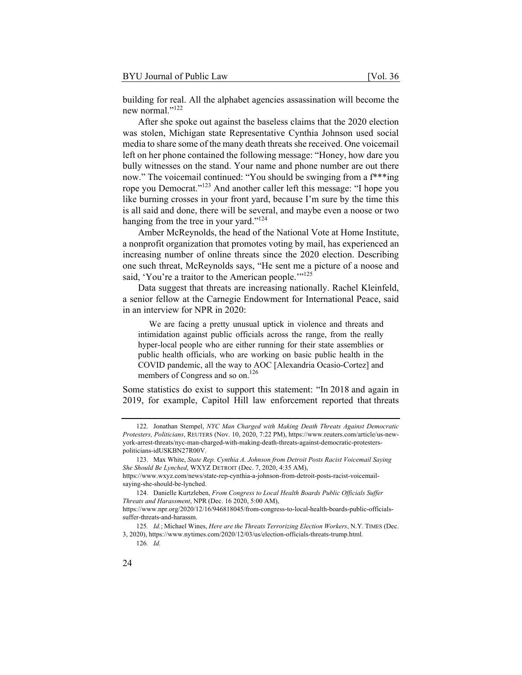building for real. All the alphabet agencies assassination will become the new normal."<sup>122</sup>

After she spoke out against the baseless claims that the 2020 election was stolen, Michigan state Representative Cynthia Johnson used social media to share some of the many death threats she received. One voicemail left on her phone contained the following message: "Honey, how dare you bully witnesses on the stand. Your name and phone number are out there now." The voicemail continued: "You should be swinging from a f\*\*\*ing rope you Democrat."123 And another caller left this message: "I hope you like burning crosses in your front yard, because I'm sure by the time this is all said and done, there will be several, and maybe even a noose or two hanging from the tree in your yard."<sup>124</sup>

Amber McReynolds, the head of the National Vote at Home Institute, a nonprofit organization that promotes voting by mail, has experienced an increasing number of online threats since the 2020 election. Describing one such threat, McReynolds says, "He sent me a picture of a noose and said, 'You're a traitor to the American people.'"<sup>125</sup>

Data suggest that threats are increasing nationally. Rachel Kleinfeld, a senior fellow at the Carnegie Endowment for International Peace, said in an interview for NPR in 2020:

 We are facing a pretty unusual uptick in violence and threats and intimidation against public officials across the range, from the really hyper-local people who are either running for their state assemblies or public health officials, who are working on basic public health in the COVID pandemic, all the way to AOC [Alexandria Ocasio-Cortez] and members of Congress and so on.<sup>126</sup>

Some statistics do exist to support this statement: "In 2018 and again in 2019, for example, Capitol Hill law enforcement reported that threats

<sup>122.</sup> Jonathan Stempel, *NYC Man Charged with Making Death Threats Against Democratic Protesters, Politicians*, REUTERS (Nov. 10, 2020, 7:22 PM), https://www.reuters.com/article/us-newyork-arrest-threats/nyc-man-charged-with-making-death-threats-against-democratic-protesterspoliticians-idUSKBN27R00V.

<sup>123.</sup> Max White, *State Rep. Cynthia A. Johnson from Detroit Posts Racist Voicemail Saying She Should Be Lynched*, WXYZ DETROIT (Dec. 7, 2020, 4:35 AM),

https://www.wxyz.com/news/state-rep-cynthia-a-johnson-from-detroit-posts-racist-voicemailsaying-she-should-be-lynched.

<sup>124.</sup> Danielle Kurtzleben, *From Congress to Local Health Boards Public Officials Suffer Threats and Harassment*, NPR (Dec. 16 2020, 5:00 AM), https://www.npr.org/2020/12/16/946818045/from-congress-to-local-health-boards-public-officials-

suffer-threats-and-harassm.

<sup>125</sup>*. Id.*; Michael Wines, *Here are the Threats Terrorizing Election Workers*, N.Y. TIMES (Dec. 3, 2020), https://www.nytimes.com/2020/12/03/us/election-officials-threats-trump.html.

<sup>126</sup>*. Id.*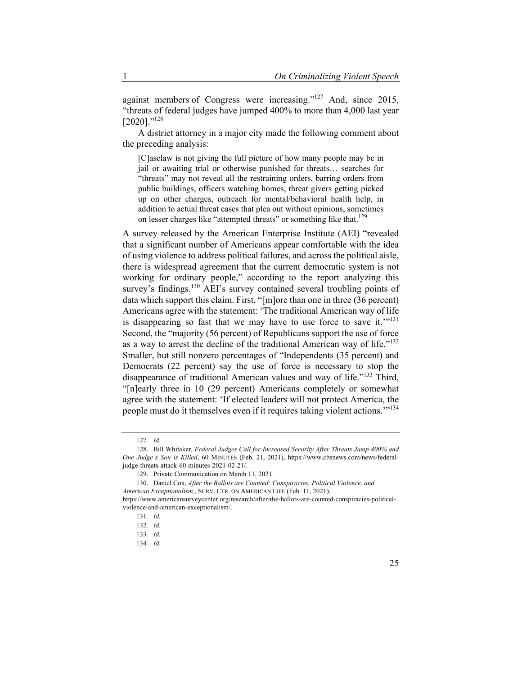against members of Congress were increasing."127 And, since 2015, "threats of federal judges have jumped 400% to more than 4,000 last year  $[2020]$ ."<sup>128</sup>

A district attorney in a major city made the following comment about the preceding analysis:

[C]aselaw is not giving the full picture of how many people may be in jail or awaiting trial or otherwise punished for threats… searches for "threats" may not reveal all the restraining orders, barring orders from public buildings, officers watching homes, threat givers getting picked up on other charges, outreach for mental/behavioral health help, in addition to actual threat cases that plea out without opinions, sometimes on lesser charges like "attempted threats" or something like that.<sup>129</sup>

A survey released by the American Enterprise Institute (AEI) "revealed that a significant number of Americans appear comfortable with the idea of using violence to address political failures, and across the political aisle, there is widespread agreement that the current democratic system is not working for ordinary people," according to the report analyzing this survey's findings.<sup>130</sup> AEI's survey contained several troubling points of data which support this claim. First, "[m]ore than one in three (36 percent) Americans agree with the statement: 'The traditional American way of life is disappearing so fast that we may have to use force to save it.<sup>'''131</sup> Second, the "majority (56 percent) of Republicans support the use of force as a way to arrest the decline of the traditional American way of life."<sup>132</sup> Smaller, but still nonzero percentages of "Independents (35 percent) and Democrats (22 percent) say the use of force is necessary to stop the disappearance of traditional American values and way of life."133 Third, "[n]early three in 10 (29 percent) Americans completely or somewhat agree with the statement: 'If elected leaders will not protect America, the people must do it themselves even if it requires taking violent actions.'"134

<sup>127</sup>*. Id.*

<sup>128.</sup> Bill Whitaker, *Federal Judges Call for Increased Security After Threats Jump 400% and One Judge's Son is Killed*, 60 MINUTES (Feb. 21, 2021), https://www.cbsnews.com/news/federaljudge-threats-attack-60-minutes-2021-02-21/.

<sup>129.</sup> Private Communication on March 11, 2021.

<sup>130.</sup> Daniel Cox, *After the Ballots are Counted: Conspiracies, Political Violence, and American Exceptionalism,*, SURV. CTR. ON AMERICAN LIFE (Feb. 11, 2021), https://www.americansurveycenter.org/research/after-the-ballots-are-counted-conspiracies-political-

violence-and-american-exceptionalism/.

<sup>131</sup>*. Id.*

<sup>132</sup>*. Id.*

<sup>133</sup>*. Id.*

<sup>134</sup>*. Id.*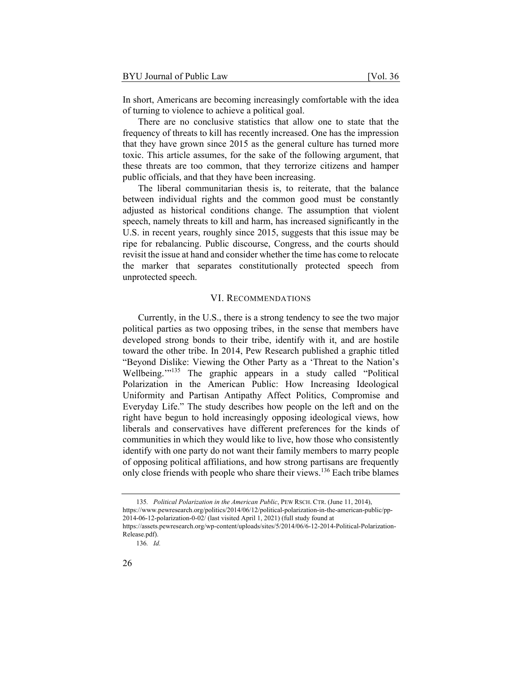In short, Americans are becoming increasingly comfortable with the idea of turning to violence to achieve a political goal.

There are no conclusive statistics that allow one to state that the frequency of threats to kill has recently increased. One has the impression that they have grown since 2015 as the general culture has turned more toxic. This article assumes, for the sake of the following argument, that these threats are too common, that they terrorize citizens and hamper public officials, and that they have been increasing.

The liberal communitarian thesis is, to reiterate, that the balance between individual rights and the common good must be constantly adjusted as historical conditions change. The assumption that violent speech, namely threats to kill and harm, has increased significantly in the U.S. in recent years, roughly since 2015, suggests that this issue may be ripe for rebalancing. Public discourse, Congress, and the courts should revisit the issue at hand and consider whether the time has come to relocate the marker that separates constitutionally protected speech from unprotected speech.

#### VI. RECOMMENDATIONS

Currently, in the U.S., there is a strong tendency to see the two major political parties as two opposing tribes, in the sense that members have developed strong bonds to their tribe, identify with it, and are hostile toward the other tribe. In 2014, Pew Research published a graphic titled "Beyond Dislike: Viewing the Other Party as a 'Threat to the Nation's Wellbeing."<sup>135</sup> The graphic appears in a study called "Political Polarization in the American Public: How Increasing Ideological Uniformity and Partisan Antipathy Affect Politics, Compromise and Everyday Life." The study describes how people on the left and on the right have begun to hold increasingly opposing ideological views, how liberals and conservatives have different preferences for the kinds of communities in which they would like to live, how those who consistently identify with one party do not want their family members to marry people of opposing political affiliations, and how strong partisans are frequently only close friends with people who share their views.<sup>136</sup> Each tribe blames

<sup>135</sup>*. Political Polarization in the American Public*, PEW RSCH. CTR. (June 11, 2014), https://www.pewresearch.org/politics/2014/06/12/political-polarization-in-the-american-public/pp-2014-06-12-polarization-0-02/ (last visited April 1, 2021) (full study found at https://assets.pewresearch.org/wp-content/uploads/sites/5/2014/06/6-12-2014-Political-Polarization-Release.pdf).

<sup>136</sup>*. Id.*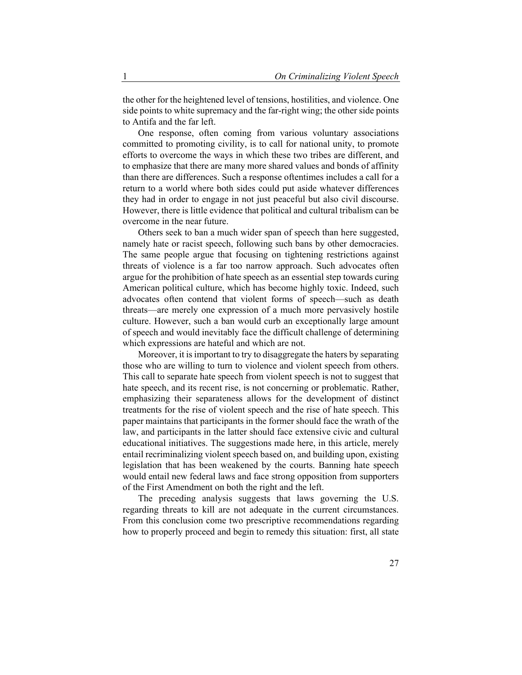the other for the heightened level of tensions, hostilities, and violence. One side points to white supremacy and the far-right wing; the other side points to Antifa and the far left.

One response, often coming from various voluntary associations committed to promoting civility, is to call for national unity, to promote efforts to overcome the ways in which these two tribes are different, and to emphasize that there are many more shared values and bonds of affinity than there are differences. Such a response oftentimes includes a call for a return to a world where both sides could put aside whatever differences they had in order to engage in not just peaceful but also civil discourse. However, there is little evidence that political and cultural tribalism can be overcome in the near future.

Others seek to ban a much wider span of speech than here suggested, namely hate or racist speech, following such bans by other democracies. The same people argue that focusing on tightening restrictions against threats of violence is a far too narrow approach. Such advocates often argue for the prohibition of hate speech as an essential step towards curing American political culture, which has become highly toxic. Indeed, such advocates often contend that violent forms of speech—such as death threats—are merely one expression of a much more pervasively hostile culture. However, such a ban would curb an exceptionally large amount of speech and would inevitably face the difficult challenge of determining which expressions are hateful and which are not.

Moreover, it is important to try to disaggregate the haters by separating those who are willing to turn to violence and violent speech from others. This call to separate hate speech from violent speech is not to suggest that hate speech, and its recent rise, is not concerning or problematic. Rather, emphasizing their separateness allows for the development of distinct treatments for the rise of violent speech and the rise of hate speech. This paper maintains that participants in the former should face the wrath of the law, and participants in the latter should face extensive civic and cultural educational initiatives. The suggestions made here, in this article, merely entail recriminalizing violent speech based on, and building upon, existing legislation that has been weakened by the courts. Banning hate speech would entail new federal laws and face strong opposition from supporters of the First Amendment on both the right and the left.

The preceding analysis suggests that laws governing the U.S. regarding threats to kill are not adequate in the current circumstances. From this conclusion come two prescriptive recommendations regarding how to properly proceed and begin to remedy this situation: first, all state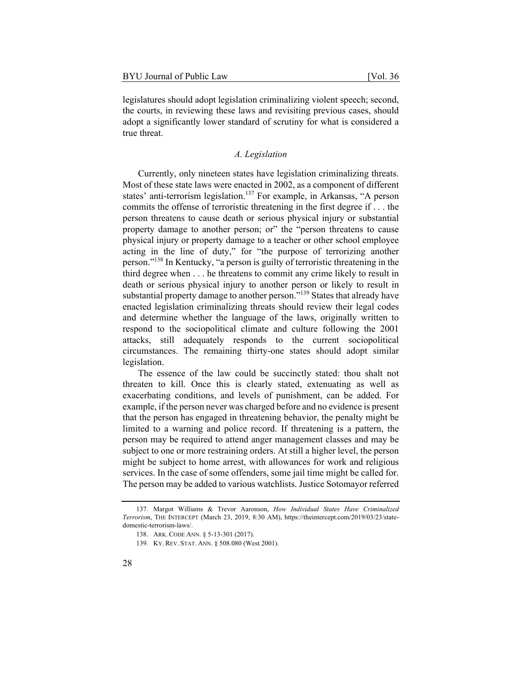legislatures should adopt legislation criminalizing violent speech; second, the courts, in reviewing these laws and revisiting previous cases, should adopt a significantly lower standard of scrutiny for what is considered a true threat.

# *A. Legislation*

Currently, only nineteen states have legislation criminalizing threats. Most of these state laws were enacted in 2002, as a component of different states' anti-terrorism legislation.<sup>137</sup> For example, in Arkansas, "A person commits the offense of terroristic threatening in the first degree if . . . the person threatens to cause death or serious physical injury or substantial property damage to another person; or" the "person threatens to cause physical injury or property damage to a teacher or other school employee acting in the line of duty," for "the purpose of terrorizing another person."138 In Kentucky, "a person is guilty of terroristic threatening in the third degree when . . . he threatens to commit any crime likely to result in death or serious physical injury to another person or likely to result in substantial property damage to another person."<sup>139</sup> States that already have enacted legislation criminalizing threats should review their legal codes and determine whether the language of the laws, originally written to respond to the sociopolitical climate and culture following the 2001 attacks, still adequately responds to the current sociopolitical circumstances. The remaining thirty-one states should adopt similar legislation.

The essence of the law could be succinctly stated: thou shalt not threaten to kill. Once this is clearly stated, extenuating as well as exacerbating conditions, and levels of punishment, can be added. For example, if the person never was charged before and no evidence is present that the person has engaged in threatening behavior, the penalty might be limited to a warning and police record. If threatening is a pattern, the person may be required to attend anger management classes and may be subject to one or more restraining orders. At still a higher level, the person might be subject to home arrest, with allowances for work and religious services. In the case of some offenders, some jail time might be called for. The person may be added to various watchlists. Justice Sotomayor referred

<sup>137.</sup> Margot Williams & Trevor Aaronson, *How Individual States Have Criminalized Terrorism*, THE INTERCEPT (March 23, 2019, 8:30 AM), https://theintercept.com/2019/03/23/statedomestic-terrorism-laws/.

<sup>138.</sup> ARK. CODE ANN. § 5-13-301 (2017).

<sup>139.</sup> KY. REV. STAT. ANN. § 508.080 (West 2001).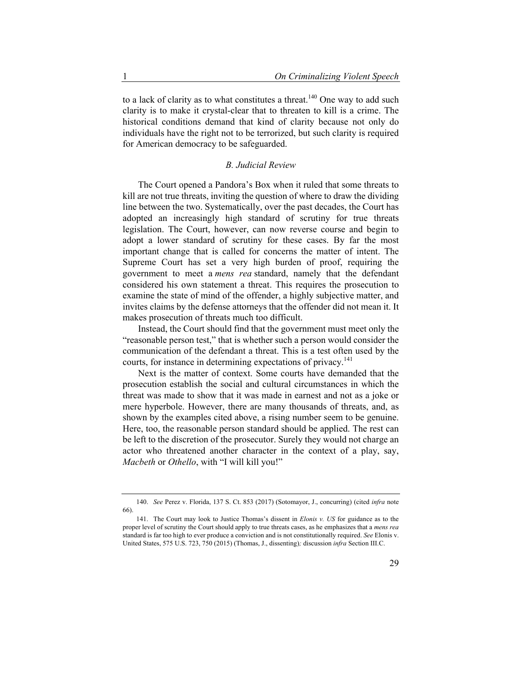to a lack of clarity as to what constitutes a threat.<sup>140</sup> One way to add such clarity is to make it crystal-clear that to threaten to kill is a crime. The historical conditions demand that kind of clarity because not only do individuals have the right not to be terrorized, but such clarity is required for American democracy to be safeguarded.

#### *B. Judicial Review*

The Court opened a Pandora's Box when it ruled that some threats to kill are not true threats, inviting the question of where to draw the dividing line between the two. Systematically, over the past decades, the Court has adopted an increasingly high standard of scrutiny for true threats legislation. The Court, however, can now reverse course and begin to adopt a lower standard of scrutiny for these cases. By far the most important change that is called for concerns the matter of intent. The Supreme Court has set a very high burden of proof, requiring the government to meet a *mens rea* standard, namely that the defendant considered his own statement a threat. This requires the prosecution to examine the state of mind of the offender, a highly subjective matter, and invites claims by the defense attorneys that the offender did not mean it. It makes prosecution of threats much too difficult.

Instead, the Court should find that the government must meet only the "reasonable person test," that is whether such a person would consider the communication of the defendant a threat. This is a test often used by the courts, for instance in determining expectations of privacy.<sup>141</sup>

Next is the matter of context. Some courts have demanded that the prosecution establish the social and cultural circumstances in which the threat was made to show that it was made in earnest and not as a joke or mere hyperbole. However, there are many thousands of threats, and, as shown by the examples cited above, a rising number seem to be genuine. Here, too, the reasonable person standard should be applied. The rest can be left to the discretion of the prosecutor. Surely they would not charge an actor who threatened another character in the context of a play, say, *Macbeth* or *Othello*, with "I will kill you!"

<sup>140.</sup> *See* Perez v. Florida, 137 S. Ct. 853 (2017) (Sotomayor, J., concurring) (cited *infra* note 66).

<sup>141.</sup> The Court may look to Justice Thomas's dissent in *Elonis v. US* for guidance as to the proper level of scrutiny the Court should apply to true threats cases, as he emphasizes that a *mens rea* standard is far too high to ever produce a conviction and is not constitutionally required. *See* Elonis v. United States, 575 U.S. 723, 750 (2015) (Thomas, J., dissenting)*;* discussion *infra* Section III.C.